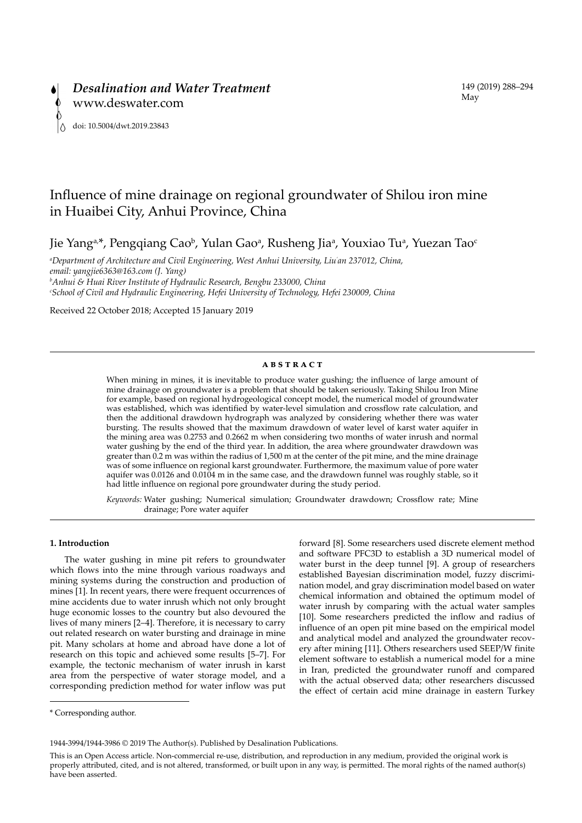

# Influence of mine drainage on regional groundwater of Shilou iron mine in Huaibei City, Anhui Province, China

Jie Yang<sup>a,\*</sup>, Pengqiang Cao<sup>b</sup>, Yulan Gao<sup>a</sup>, Rusheng Jiaª, Youxiao Tuª, Yuezan Tao<sup>q</sup>

*a Department of Architecture and Civil Engineering, West Anhui University, Liu' an 237012, China, email: yangjie6363@163.com (J. Yang) b Anhui & Huai River Institute of Hydraulic Research, Bengbu 233000, China c School of Civil and Hydraulic Engineering, Hefei University of Technology, Hefei 230009, China*

Received 22 October 2018; Accepted 15 January 2019

### **ABSTRACT**

When mining in mines, it is inevitable to produce water gushing; the influence of large amount of mine drainage on groundwater is a problem that should be taken seriously. Taking Shilou Iron Mine for example, based on regional hydrogeological concept model, the numerical model of groundwater was established, which was identified by water-level simulation and crossflow rate calculation, and then the additional drawdown hydrograph was analyzed by considering whether there was water bursting. The results showed that the maximum drawdown of water level of karst water aquifer in the mining area was 0.2753 and 0.2662 m when considering two months of water inrush and normal water gushing by the end of the third year. In addition, the area where groundwater drawdown was greater than 0.2 m was within the radius of 1,500 m at the center of the pit mine, and the mine drainage was of some influence on regional karst groundwater. Furthermore, the maximum value of pore water aquifer was 0.0126 and 0.0104 m in the same case, and the drawdown funnel was roughly stable, so it had little influence on regional pore groundwater during the study period.

*Keywords:* Water gushing; Numerical simulation; Groundwater drawdown; Crossflow rate; Mine drainage; Pore water aquifer

# **1. Introduction**

The water gushing in mine pit refers to groundwater which flows into the mine through various roadways and mining systems during the construction and production of mines [1]. In recent years, there were frequent occurrences of mine accidents due to water inrush which not only brought huge economic losses to the country but also devoured the lives of many miners [2–4]. Therefore, it is necessary to carry out related research on water bursting and drainage in mine pit. Many scholars at home and abroad have done a lot of research on this topic and achieved some results [5–7]. For example, the tectonic mechanism of water inrush in karst area from the perspective of water storage model, and a corresponding prediction method for water inflow was put forward [8]. Some researchers used discrete element method and software PFC3D to establish a 3D numerical model of water burst in the deep tunnel [9]. A group of researchers established Bayesian discrimination model, fuzzy discrimination model, and gray discrimination model based on water chemical information and obtained the optimum model of water inrush by comparing with the actual water samples [10]. Some researchers predicted the inflow and radius of influence of an open pit mine based on the empirical model and analytical model and analyzed the groundwater recovery after mining [11]. Others researchers used SEEP/W finite element software to establish a numerical model for a mine in Iran, predicted the groundwater runoff and compared with the actual observed data; other researchers discussed the effect of certain acid mine drainage in eastern Turkey

<sup>\*</sup> Corresponding author.

<sup>1944-3994/1944-3986 © 2019</sup> The Author(s). Published by Desalination Publications.

This is an Open Access article. Non-commercial re-use, distribution, and reproduction in any medium, provided the original work is properly attributed, cited, and is not altered, transformed, or built upon in any way, is permitted. The moral rights of the named author(s) have been asserted.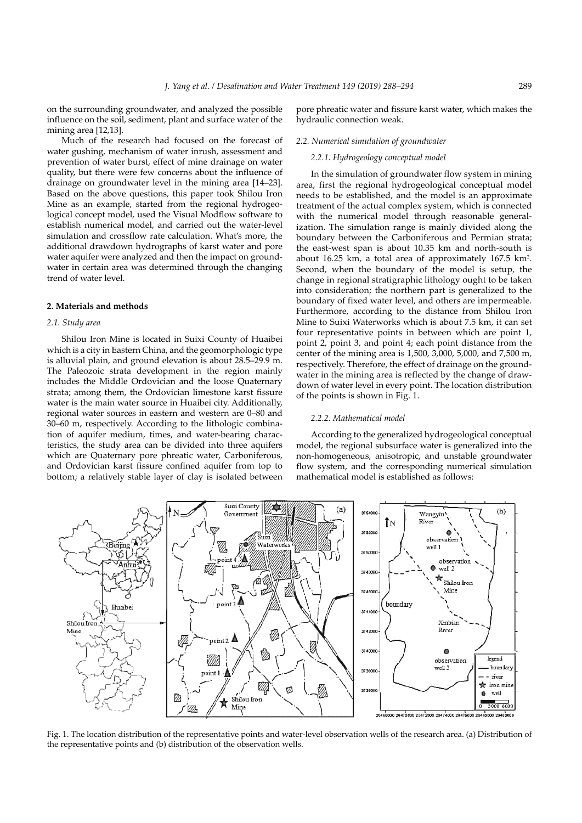on the surrounding groundwater, and analyzed the possible influence on the soil, sediment, plant and surface water of the mining area [12,13].

Much of the research had focused on the forecast of water gushing, mechanism of water inrush, assessment and prevention of water burst, effect of mine drainage on water quality, but there were few concerns about the influence of drainage on groundwater level in the mining area [14–23]. Based on the above questions, this paper took Shilou Iron Mine as an example, started from the regional hydrogeological concept model, used the Visual Modflow software to establish numerical model, and carried out the water-level simulation and crossflow rate calculation. What's more, the additional drawdown hydrographs of karst water and pore water aquifer were analyzed and then the impact on groundwater in certain area was determined through the changing trend of water level.

# **2. Materials and methods**

### *2.1. Study area*

Shilou Iron Mine is located in Suixi County of Huaibei which is a city in Eastern China, and the geomorphologic type is alluvial plain, and ground elevation is about 28.5–29.9 m. The Paleozoic strata development in the region mainly includes the Middle Ordovician and the loose Quaternary strata; among them, the Ordovician limestone karst fissure water is the main water source in Huaibei city. Additionally, regional water sources in eastern and western are 0–80 and 30–60 m, respectively. According to the lithologic combination of aquifer medium, times, and water-bearing characteristics, the study area can be divided into three aquifers which are Quaternary pore phreatic water, Carboniferous, and Ordovician karst fissure confined aquifer from top to bottom; a relatively stable layer of clay is isolated between

pore phreatic water and fissure karst water, which makes the hydraulic connection weak.

# *2.2. Numerical simulation of groundwater*

# *2.2.1. Hydrogeology conceptual model*

In the simulation of groundwater flow system in mining area, first the regional hydrogeological conceptual model needs to be established, and the model is an approximate treatment of the actual complex system, which is connected with the numerical model through reasonable generalization. The simulation range is mainly divided along the boundary between the Carboniferous and Permian strata; the east-west span is about 10.35 km and north-south is about 16.25 km, a total area of approximately 167.5 km<sup>2</sup>. Second, when the boundary of the model is setup, the change in regional stratigraphic lithology ought to be taken into consideration; the northern part is generalized to the boundary of fixed water level, and others are impermeable. Furthermore, according to the distance from Shilou Iron Mine to Suixi Waterworks which is about 7.5 km, it can set four representative points in between which are point 1, point 2, point 3, and point 4; each point distance from the center of the mining area is 1,500, 3,000, 5,000, and 7,500 m, respectively. Therefore, the effect of drainage on the groundwater in the mining area is reflected by the change of drawdown of water level in every point. The location distribution of the points is shown in Fig. 1.

#### *2.2.2. Mathematical model*

According to the generalized hydrogeological conceptual model, the regional subsurface water is generalized into the non-homogeneous, anisotropic, and unstable groundwater flow system, and the corresponding numerical simulation mathematical model is established as follows:



Fig. 1. The location distribution of the representative points and water-level observation wells of the research area. (a) Distribution of the representative points and (b) distribution of the observation wells.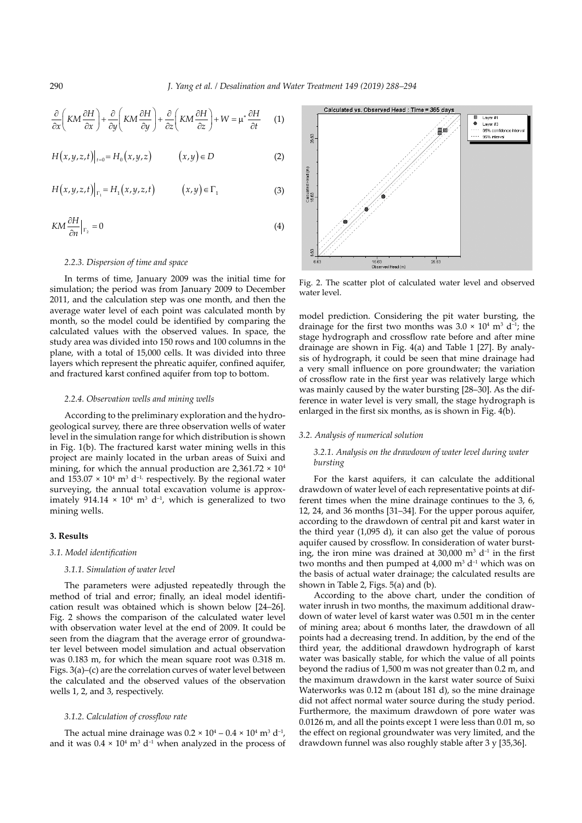$$
\frac{\partial}{\partial x}\left(KM\frac{\partial H}{\partial x}\right) + \frac{\partial}{\partial y}\left(KM\frac{\partial H}{\partial y}\right) + \frac{\partial}{\partial z}\left(KM\frac{\partial H}{\partial z}\right) + W = \mu^* \frac{\partial H}{\partial t} \qquad (1)
$$

$$
H(x, y, z, t)|_{t=0} = H_0(x, y, z) \qquad (x, y) \in D \tag{2}
$$

$$
H(x,y,z,t)|_{\Gamma_1} = H_1(x,y,z,t) \qquad (x,y) \in \Gamma_1 \tag{3}
$$

$$
K M \frac{\partial H}{\partial n}\Big|_{\Gamma_2} = 0 \tag{4}
$$

### *2.2.3. Dispersion of time and space*

In terms of time, January 2009 was the initial time for simulation; the period was from January 2009 to December 2011, and the calculation step was one month, and then the average water level of each point was calculated month by month, so the model could be identified by comparing the calculated values with the observed values. In space, the study area was divided into 150 rows and 100 columns in the plane, with a total of 15,000 cells. It was divided into three layers which represent the phreatic aquifer, confined aquifer, and fractured karst confined aquifer from top to bottom.

### *2.2.4. Observation wells and mining wells*

According to the preliminary exploration and the hydrogeological survey, there are three observation wells of water level in the simulation range for which distribution is shown in Fig. 1(b). The fractured karst water mining wells in this project are mainly located in the urban areas of Suixi and mining, for which the annual production are  $2,361.72 \times 10^4$ and  $153.07 \times 10^4$  m<sup>3</sup> d<sup>-1,</sup> respectively. By the regional water surveying, the annual total excavation volume is approximately  $914.14 \times 10^4$  m<sup>3</sup> d<sup>-1</sup>, which is generalized to two mining wells.

### **3. Results**

# *3.1. Model identification*

### *3.1.1. Simulation of water level*

The parameters were adjusted repeatedly through the method of trial and error; finally, an ideal model identification result was obtained which is shown below [24–26]. Fig. 2 shows the comparison of the calculated water level with observation water level at the end of 2009. It could be seen from the diagram that the average error of groundwater level between model simulation and actual observation was 0.183 m, for which the mean square root was 0.318 m. Figs. 3(a)–(c) are the correlation curves of water level between the calculated and the observed values of the observation wells 1, 2, and 3, respectively.

### *3.1.2. Calculation of crossflow rate*

The actual mine drainage was  $0.2 \times 10^4 - 0.4 \times 10^4$  m<sup>3</sup> d<sup>-1</sup>, and it was  $0.4 \times 10^4$  m<sup>3</sup> d<sup>-1</sup> when analyzed in the process of



Fig. 2. The scatter plot of calculated water level and observed water level.

model prediction. Considering the pit water bursting, the drainage for the first two months was  $3.0 \times 10^4$  m<sup>3</sup> d<sup>-1</sup>; the stage hydrograph and crossflow rate before and after mine drainage are shown in Fig. 4(a) and Table 1 [27]. By analysis of hydrograph, it could be seen that mine drainage had a very small influence on pore groundwater; the variation of crossflow rate in the first year was relatively large which was mainly caused by the water bursting [28–30]. As the difference in water level is very small, the stage hydrograph is enlarged in the first six months, as is shown in Fig. 4(b).

### *3.2. Analysis of numerical solution*

# *3.2.1. Analysis on the drawdown of water level during water bursting*

For the karst aquifers, it can calculate the additional drawdown of water level of each representative points at different times when the mine drainage continues to the 3, 6, 12, 24, and 36 months [31–34]. For the upper porous aquifer, according to the drawdown of central pit and karst water in the third year (1,095 d), it can also get the value of porous aquifer caused by crossflow. In consideration of water bursting, the iron mine was drained at  $30,000$  m<sup>3</sup> d<sup>-1</sup> in the first two months and then pumped at  $4,000$  m<sup>3</sup> d<sup>-1</sup> which was on the basis of actual water drainage; the calculated results are shown in Table 2, Figs. 5(a) and (b).

According to the above chart, under the condition of water inrush in two months, the maximum additional drawdown of water level of karst water was 0.501 m in the center of mining area; about 6 months later, the drawdown of all points had a decreasing trend. In addition, by the end of the third year, the additional drawdown hydrograph of karst water was basically stable, for which the value of all points beyond the radius of 1,500 m was not greater than 0.2 m, and the maximum drawdown in the karst water source of Suixi Waterworks was 0.12 m (about 181 d), so the mine drainage did not affect normal water source during the study period. Furthermore, the maximum drawdown of pore water was 0.0126 m, and all the points except 1 were less than 0.01 m, so the effect on regional groundwater was very limited, and the drawdown funnel was also roughly stable after 3 y [35,36].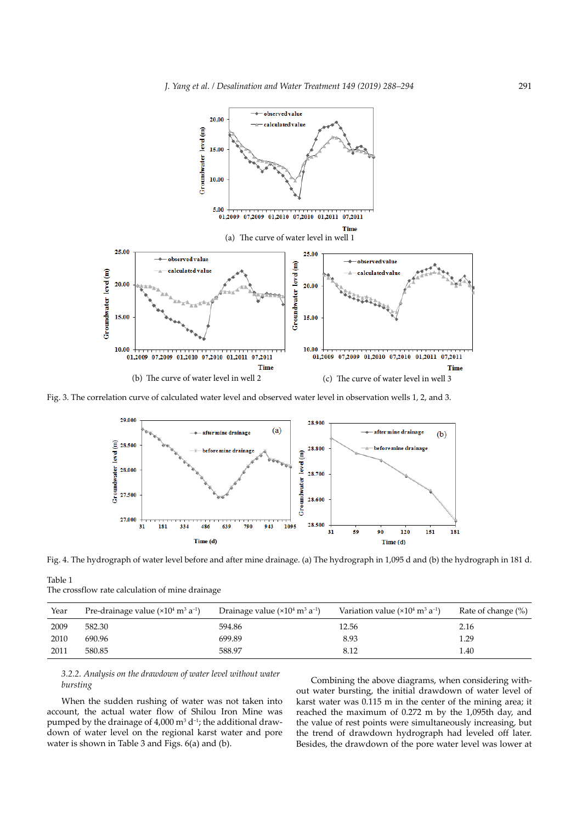

Fig. 3. The correlation curve of calculated water level and observed water level in observation wells 1, 2, and 3.



Fig. 4. The hydrograph of water level before and after mine drainage. (a) The hydrograph in 1,095 d and (b) the hydrograph in 181 d.

Table 1 The crossflow rate calculation of mine drainage

| Year | Pre-drainage value $(x10^4 \text{ m}^3 \text{ a}^{-1})$ | Drainage value $(x104 m3 a-1)$ | Variation value $(x104 m3 a-1)$ | Rate of change (%) |
|------|---------------------------------------------------------|--------------------------------|---------------------------------|--------------------|
| 2009 | 582.30                                                  | 594.86                         | 12.56                           | 2.16               |
| 2010 | 690.96                                                  | 699.89                         | 8.93                            | 1.29               |
| 2011 | 580.85                                                  | 588.97                         | 8.12                            | 1.40               |

# *3.2.2. Analysis on the drawdown of water level without water bursting*

When the sudden rushing of water was not taken into account, the actual water flow of Shilou Iron Mine was pumped by the drainage of  $4,000$  m<sup>3</sup> d<sup>-1</sup>; the additional drawdown of water level on the regional karst water and pore water is shown in Table 3 and Figs. 6(a) and (b).

Combining the above diagrams, when considering without water bursting, the initial drawdown of water level of karst water was 0.115 m in the center of the mining area; it reached the maximum of 0.272 m by the 1,095th day, and the value of rest points were simultaneously increasing, but the trend of drawdown hydrograph had leveled off later. Besides, the drawdown of the pore water level was lower at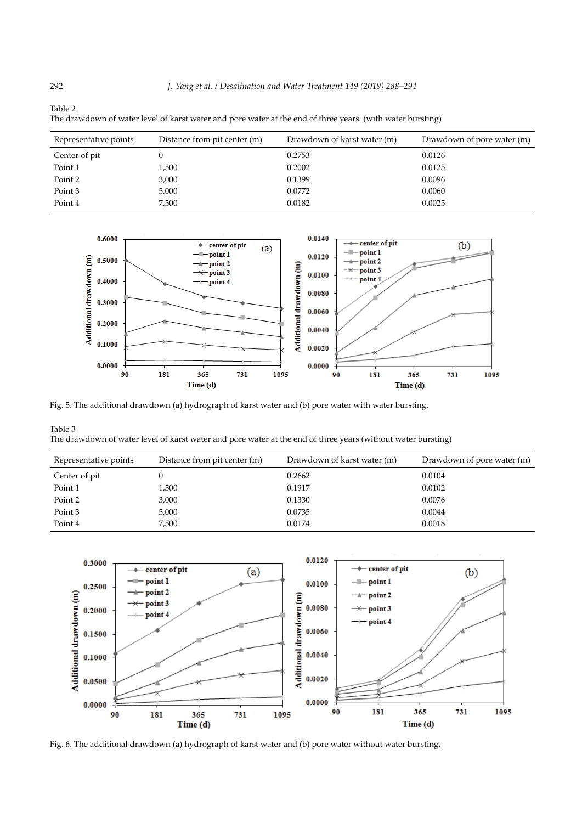| The drawdown of water level of karst water and pore water at the end of three years. (with water bursting) |                              |                             |                            |  |  |  |  |
|------------------------------------------------------------------------------------------------------------|------------------------------|-----------------------------|----------------------------|--|--|--|--|
| Representative points                                                                                      | Distance from pit center (m) | Drawdown of karst water (m) | Drawdown of pore water (m) |  |  |  |  |
| Center of pit                                                                                              |                              | 0.2753                      | 0.0126                     |  |  |  |  |
| Point 1                                                                                                    | 1,500                        | 0.2002                      | 0.0125                     |  |  |  |  |
| Point 2                                                                                                    | 3,000                        | 0.1399                      | 0.0096                     |  |  |  |  |
| Point 3                                                                                                    | 5,000                        | 0.0772                      | 0.0060                     |  |  |  |  |
| Point 4                                                                                                    | 7.500                        | 0.0182                      | 0.0025                     |  |  |  |  |



Fig. 5. The additional drawdown (a) hydrograph of karst water and (b) pore water with water bursting.

Table 3 The drawdown of water level of karst water and pore water at the end of three years (without water bursting)

| Representative points | Distance from pit center (m) | Drawdown of karst water (m) | Drawdown of pore water (m) |
|-----------------------|------------------------------|-----------------------------|----------------------------|
| Center of pit         |                              | 0.2662                      | 0.0104                     |
| Point 1               | 1,500                        | 0.1917                      | 0.0102                     |
| Point 2               | 3,000                        | 0.1330                      | 0.0076                     |
| Point 3               | 5,000                        | 0.0735                      | 0.0044                     |
| Point 4               | 7,500                        | 0.0174                      | 0.0018                     |



Fig. 6. The additional drawdown (a) hydrograph of karst water and (b) pore water without water bursting.

Table 2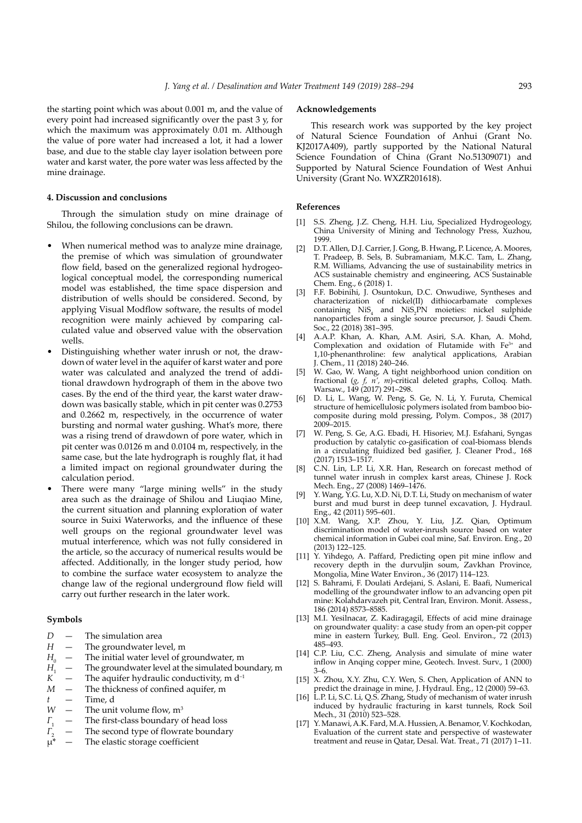the starting point which was about 0.001 m, and the value of every point had increased significantly over the past 3 y, for which the maximum was approximately 0.01 m. Although the value of pore water had increased a lot, it had a lower base, and due to the stable clay layer isolation between pore water and karst water, the pore water was less affected by the mine drainage.

# **4. Discussion and conclusions**

Through the simulation study on mine drainage of Shilou, the following conclusions can be drawn.

- When numerical method was to analyze mine drainage, the premise of which was simulation of groundwater flow field, based on the generalized regional hydrogeological conceptual model, the corresponding numerical model was established, the time space dispersion and distribution of wells should be considered. Second, by applying Visual Modflow software, the results of model recognition were mainly achieved by comparing calculated value and observed value with the observation wells.
- Distinguishing whether water inrush or not, the drawdown of water level in the aquifer of karst water and pore water was calculated and analyzed the trend of additional drawdown hydrograph of them in the above two cases. By the end of the third year, the karst water drawdown was basically stable, which in pit center was 0.2753 and 0.2662 m, respectively, in the occurrence of water bursting and normal water gushing. What's more, there was a rising trend of drawdown of pore water, which in pit center was 0.0126 m and 0.0104 m, respectively, in the same case, but the late hydrograph is roughly flat, it had a limited impact on regional groundwater during the calculation period.
- There were many "large mining wells" in the study area such as the drainage of Shilou and Liuqiao Mine, the current situation and planning exploration of water source in Suixi Waterworks, and the influence of these well groups on the regional groundwater level was mutual interference, which was not fully considered in the article, so the accuracy of numerical results would be affected. Additionally, in the longer study period, how to combine the surface water ecosystem to analyze the change law of the regional underground flow field will carry out further research in the later work.

### **Symbols**

- *D* The simulation area
- *H* The groundwater level, m
- $H_0$  The initial water level of groundwater, m<br>*H* The groundwater level at the simulated bo
- *H*<sub>1</sub> The groundwater level at the simulated boundary, m<br> $K$  The aquifer hydraulic conductivity, m d<sup>-1</sup>
- The aquifer hydraulic conductivity,  $m d^{-1}$
- *M* The thickness of confined aquifer, m
- *t* Time, d
- *W* The unit volume flow,  $m^3$
- *Γ*<sub>1</sub> The first-class boundary of head loss *Γ*<sub>2</sub> The second type of flowrate boundar  $μ^*$  The elastic storage coefficient
- The second type of flowrate boundary
- The elastic storage coefficient

# **Acknowledgements**

This research work was supported by the key project of Natural Science Foundation of Anhui (Grant No. KJ2017A409), partly supported by the National Natural Science Foundation of China (Grant No.51309071) and Supported by Natural Science Foundation of West Anhui University (Grant No. WXZR201618).

### **References**

- [1] S.S. Zheng, J.Z. Cheng, H.H. Liu, Specialized Hydrogeology, China University of Mining and Technology Press, Xuzhou, 1999.
- [2] D.T. Allen, D.J. Carrier, J. Gong, B. Hwang, P. Licence, A. Moores, T. Pradeep, B. Sels, B. Subramaniam, M.K.C. Tam, L. Zhang, R.M. Williams, Advancing the use of sustainability metrics in ACS sustainable chemistry and engineering, ACS Sustainable Chem. Eng., 6 (2018) 1.
- F.F. Bobinihi, J. Osuntokun, D.C. Onwudiwe, Syntheses and characterization of nickel(II) dithiocarbamate complexes containing NiS<sub>4</sub> and NiS<sub>2</sub>PN moieties: nickel sulphide nanoparticles from a single source precursor, J. Saudi Chem. Soc., 22 (2018) 381–395.
- [4] A.A.P. Khan, A. Khan, A.M. Asiri, S.A. Khan, A. Mohd, Complexation and oxidation of Flutamide with Fe<sup>3+</sup> and 1,10-phenanthroline: few analytical applications, Arabian J. Chem., 11 (2018) 240–246.
- [5] W. Gao, W. Wang, A tight neighborhood union condition on fractional (*g, f, n', m*)-critical deleted graphs, Colloq. Math. Warsaw., 149 (2017) 291–298.
- [6] D. Li, L. Wang, W. Peng, S. Ge, N. Li, Y. Furuta, Chemical structure of hemicellulosic polymers isolated from bamboo biocomposite during mold pressing, Polym. Compos., 38 (2017) 2009–2015.
- [7] W. Peng, S. Ge, A.G. Ebadi, H. Hisoriev, M.J. Esfahani, Syngas production by catalytic co-gasification of coal-biomass blends in a circulating fluidized bed gasifier, J. Cleaner Prod., 168 (2017) 1513–1517.
- C.N. Lin, L.P. Li, X.R. Han, Research on forecast method of tunnel water inrush in complex karst areas, Chinese J. Rock Mech. Eng., 27 (2008) 1469-1476.
- Y. Wang, Y.G. Lu, X.D. Ni, D.T. Li, Study on mechanism of water burst and mud burst in deep tunnel excavation, J. Hydraul. Eng., 42 (2011) 595–601.
- [10] X.M. Wang, X.P. Zhou, Y. Liu, J.Z. Qian, Optimum discrimination model of water-inrush source based on water chemical information in Gubei coal mine, Saf. Environ. Eng., 20 (2013) 122–125.
- [11] Y. Yihdego, A. Paffard, Predicting open pit mine inflow and recovery depth in the durvuljin soum, Zavkhan Province, Mongolia, Mine Water Environ., 36 (2017) 114–123.
- [12] S. Bahrami, F. Doulati Ardejani, S. Aslani, E. Baafi, Numerical modelling of the groundwater inflow to an advancing open pit mine: Kolahdarvazeh pit, Central Iran, Environ. Monit. Assess., 186 (2014) 8573–8585.
- [13] M.I. Yesilnacar, Z. Kadiragagil, Effects of acid mine drainage on groundwater quality: a case study from an open-pit copper mine in eastern Turkey, Bull. Eng. Geol. Environ., 72 (2013) 485–493.
- [14] C.P. Liu, C.C. Zheng, Analysis and simulate of mine water inflow in Anqing copper mine, Geotech. Invest. Surv., 1 (2000) 3–6.
- [15] X. Zhou, X.Y. Zhu, C.Y. Wen, S. Chen, Application of ANN to predict the drainage in mine, J. Hydraul. Eng., 12 (2000) 59–63.
- [16] L.P. Li, S.C. Li, Q.S. Zhang, Study of mechanism of water inrush induced by hydraulic fracturing in karst tunnels, Rock Soil Mech., 31 (2010) 523–528.
- [17] Y. Manawi, A.K. Fard, M.A. Hussien, A. Benamor, V. Kochkodan, Evaluation of the current state and perspective of wastewater treatment and reuse in Qatar, Desal. Wat. Treat., 71 (2017) 1–11.